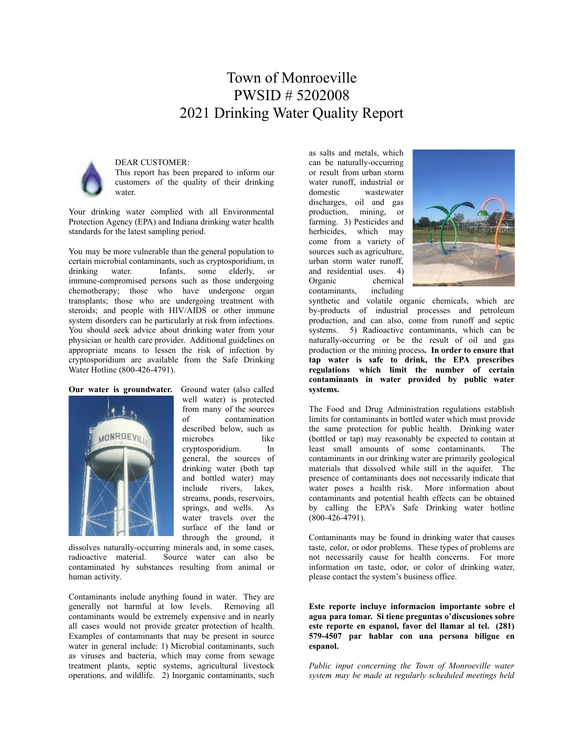# Town of Monroeville PWSID # 5202008 2021 Drinking Water Quality Report



### DEAR CUSTOMER:

This report has been prepared to inform our customers of the quality of their drinking water.

Your drinking water complied with all Environmental Protection Agency (EPA) and Indiana drinking water health standards for the latest sampling period.

You may be more vulnerable than the general population to certain microbial contaminants, such as cryptosporidium, in drinking water. Infants, some elderly, or immune-compromised persons such as those undergoing chemotherapy; those who have undergone organ transplants; those who are undergoing treatment with steroids; and people with HIV/AIDS or other immune system disorders can be particularly at risk from infections. You should seek advice about drinking water from your physician or health care provider. Additional guidelines on appropriate means to lessen the risk of infection by cryptosporidium are available from the Safe Drinking Water Hotline (800-426-4791).

#### **Our water is groundwater.** Ground water (also called



well water) is protected from many of the sources of contamination described below, such as microbes like cryptosporidium. In general, the sources of drinking water (both tap and bottled water) may include rivers, lakes, streams, ponds, reservoirs, springs, and wells. As water travels over the surface of the land or through the ground, it

dissolves naturally-occurring minerals and, in some cases, radioactive material. Source water can also be contaminated by substances resulting from animal or human activity.

Contaminants include anything found in water. They are generally not harmful at low levels. Removing all contaminants would be extremely expensive and in nearly all cases would not provide greater protection of health. Examples of contaminants that may be present in source water in general include: 1) Microbial contaminants, such as viruses and bacteria, which may come from sewage treatment plants, septic systems, agricultural livestock operations, and wildlife. 2) Inorganic contaminants, such as salts and metals, which can be naturally-occurring or result from urban storm water runoff, industrial or domestic wastewater discharges, oil and gas production, mining, or farming. 3) Pesticides and herbicides, which may come from a variety of sources such as agriculture, urban storm water runoff, and residential uses. 4) Organic chemical contaminants, including



synthetic and volatile organic chemicals, which are by-products of industrial processes and petroleum production, and can also, come from runoff and septic systems. 5) Radioactive contaminants, which can be naturally-occurring or be the result of oil and gas production or the mining process**. In order to ensure that tap water is safe to drink, the EPA prescribes regulations which limit the number of certain contaminants in water provided by public water systems.**

The Food and Drug Administration regulations establish limits for contaminants in bottled water which must provide the same protection for public health. Drinking water (bottled or tap) may reasonably be expected to contain at least small amounts of some contaminants. The contaminants in our drinking water are primarily geological materials that dissolved while still in the aquifer. The presence of contaminants does not necessarily indicate that water poses a health risk. More information about contaminants and potential health effects can be obtained by calling the EPA's Safe Drinking water hotline (800-426-4791).

Contaminants may be found in drinking water that causes taste, color, or odor problems. These types of problems are not necessarily cause for health concerns. For more information on taste, odor, or color of drinking water, please contact the system's business office.

**Este reporte incluye informacion importante sobre el agua para tomar. Si tiene preguntas o'discusiones sobre este reporte en espanol, favor del llamar al tel. (281) 579-4507 par hablar con una persona biligue en espanol.**

*Public input concerning the Town of Monroeville water system may be made at regularly scheduled meetings held*